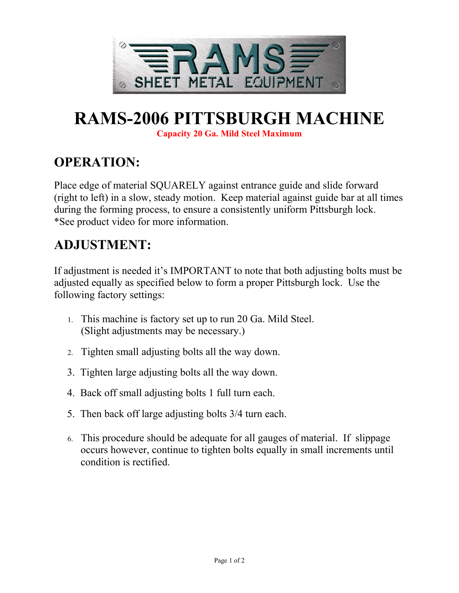

# **RAMS-2006 PITTSBURGH MACHINE**

**Capacity 20 Ga. Mild Steel Maximum**

### **OPERATION:**

Place edge of material SQUARELY against entrance guide and slide forward (right to left) in a slow, steady motion. Keep material against guide bar at all times during the forming process, to ensure a consistently uniform Pittsburgh lock. \*See product video for more information.

## **ADJUSTMENT:**

If adjustment is needed it's IMPORTANT to note that both adjusting bolts must be adjusted equally as specified below to form a proper Pittsburgh lock. Use the following factory settings:

- 1. This machine is factory set up to run 20 Ga. Mild Steel. (Slight adjustments may be necessary.)
- 2. Tighten small adjusting bolts all the way down.
- 3. Tighten large adjusting bolts all the way down.
- 4. Back off small adjusting bolts 1 full turn each.
- 5. Then back off large adjusting bolts 3/4 turn each.
- 6. This procedure should be adequate for all gauges of material. If slippage occurs however, continue to tighten bolts equally in small increments until condition is rectified.